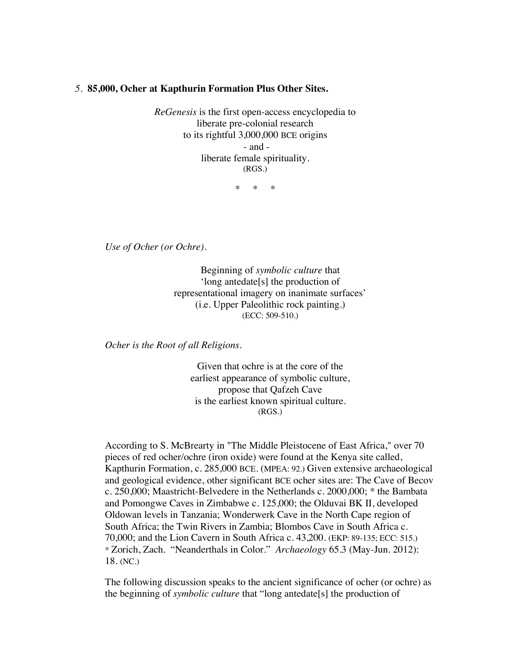## *5.* **85,000, Ocher at Kapthurin Formation Plus Other Sites.**

*ReGenesis* is the first open-access encyclopedia to liberate pre-colonial research to its rightful 3,000,000 BCE origins - and liberate female spirituality. (RGS.)

 $\ddot{x}$   $\ddot{x}$ 

*Use of Ocher (or Ochre).*

Beginning of *symbolic culture* that 'long antedate[s] the production of representational imagery on inanimate surfaces' (i.e. Upper Paleolithic rock painting.) (ECC: 509-510.)

*Ocher is the Root of all Religions.*

Given that ochre is at the core of the earliest appearance of symbolic culture, propose that Qafzeh Cave is the earliest known spiritual culture. (RGS.)

According to S. McBrearty in "The Middle Pleistocene of East Africa," over 70 pieces of red ocher/ochre (iron oxide) were found at the Kenya site called, Kapthurin Formation, c. 285,000 BCE. (MPEA: 92.) Given extensive archaeological and geological evidence, other significant BCE ocher sites are: The Cave of Becov c. 250,000; Maastricht-Belvedere in the Netherlands c. 2000,000; \* the Bambata and Pomongwe Caves in Zimbabwe c. 125,000; the Olduvai BK II, developed Oldowan levels in Tanzania; Wonderwerk Cave in the North Cape region of South Africa; the Twin Rivers in Zambia; Blombos Cave in South Africa c. 70,000; and the Lion Cavern in South Africa c. 43,200. (EKP: 89-135; ECC: 515.) \* Zorich, Zach. "Neanderthals in Color." *Archaeology* 65.3 (May-Jun. 2012): 18. (NC.)

The following discussion speaks to the ancient significance of ocher (or ochre) as the beginning of *symbolic culture* that "long antedate[s] the production of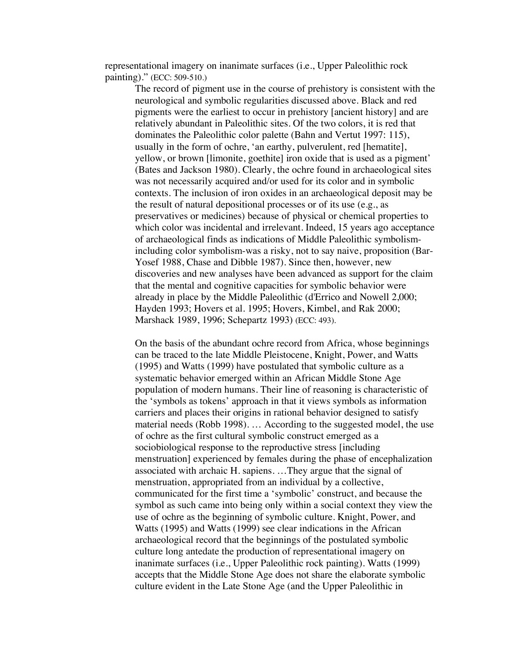representational imagery on inanimate surfaces (i.e., Upper Paleolithic rock painting)." (ECC: 509-510.)

The record of pigment use in the course of prehistory is consistent with the neurological and symbolic regularities discussed above. Black and red pigments were the earliest to occur in prehistory [ancient history] and are relatively abundant in Paleolithic sites. Of the two colors, it is red that dominates the Paleolithic color palette (Bahn and Vertut 1997: 115), usually in the form of ochre, 'an earthy, pulverulent, red [hematite], yellow, or brown [limonite, goethite] iron oxide that is used as a pigment' (Bates and Jackson 1980). Clearly, the ochre found in archaeological sites was not necessarily acquired and/or used for its color and in symbolic contexts. The inclusion of iron oxides in an archaeological deposit may be the result of natural depositional processes or of its use (e.g., as preservatives or medicines) because of physical or chemical properties to which color was incidental and irrelevant. Indeed, 15 years ago acceptance of archaeological finds as indications of Middle Paleolithic symbolismincluding color symbolism-was a risky, not to say naive, proposition (Bar-Yosef 1988, Chase and Dibble 1987). Since then, however, new discoveries and new analyses have been advanced as support for the claim that the mental and cognitive capacities for symbolic behavior were already in place by the Middle Paleolithic (d'Errico and Nowell 2,000; Hayden 1993; Hovers et al. 1995; Hovers, Kimbel, and Rak 2000; Marshack 1989, 1996; Schepartz 1993) (ECC: 493).

On the basis of the abundant ochre record from Africa, whose beginnings can be traced to the late Middle Pleistocene, Knight, Power, and Watts (1995) and Watts (1999) have postulated that symbolic culture as a systematic behavior emerged within an African Middle Stone Age population of modern humans. Their line of reasoning is characteristic of the 'symbols as tokens' approach in that it views symbols as information carriers and places their origins in rational behavior designed to satisfy material needs (Robb 1998). … According to the suggested model, the use of ochre as the first cultural symbolic construct emerged as a sociobiological response to the reproductive stress [including menstruation] experienced by females during the phase of encephalization associated with archaic H. sapiens. …They argue that the signal of menstruation, appropriated from an individual by a collective, communicated for the first time a 'symbolic' construct, and because the symbol as such came into being only within a social context they view the use of ochre as the beginning of symbolic culture. Knight, Power, and Watts (1995) and Watts (1999) see clear indications in the African archaeological record that the beginnings of the postulated symbolic culture long antedate the production of representational imagery on inanimate surfaces (i.e., Upper Paleolithic rock painting). Watts (1999) accepts that the Middle Stone Age does not share the elaborate symbolic culture evident in the Late Stone Age (and the Upper Paleolithic in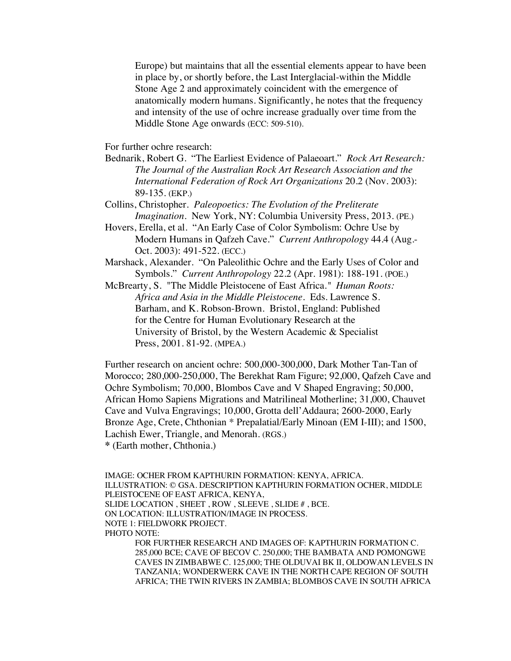Europe) but maintains that all the essential elements appear to have been in place by, or shortly before, the Last Interglacial-within the Middle Stone Age 2 and approximately coincident with the emergence of anatomically modern humans. Significantly, he notes that the frequency and intensity of the use of ochre increase gradually over time from the Middle Stone Age onwards (ECC: 509-510).

For further ochre research:

- Bednarik, Robert G. "The Earliest Evidence of Palaeoart." *Rock Art Research: The Journal of the Australian Rock Art Research Association and the International Federation of Rock Art Organizations* 20.2 (Nov. 2003): 89-135. (EKP.)
- Collins, Christopher. *Paleopoetics: The Evolution of the Preliterate Imagination*. New York, NY: Columbia University Press, 2013. (PE.)
- Hovers, Erella, et al. "An Early Case of Color Symbolism: Ochre Use by Modern Humans in Qafzeh Cave." *Current Anthropology* 44.4 (Aug.- Oct. 2003): 491-522. (ECC.)
- Marshack, Alexander. "On Paleolithic Ochre and the Early Uses of Color and Symbols." *Current Anthropology* 22.2 (Apr. 1981): 188-191. (POE.)
- McBrearty, S. "The Middle Pleistocene of East Africa*." Human Roots: Africa and Asia in the Middle Pleistocene.* Eds. Lawrence S. Barham, and K. Robson-Brown. Bristol, England: Published for the Centre for Human Evolutionary Research at the University of Bristol, by the Western Academic & Specialist Press, 2001. 81-92. (MPEA.)

Further research on ancient ochre: 500,000-300,000, Dark Mother Tan-Tan of Morocco; 280,000-250,000, The Berekhat Ram Figure; 92,000, Qafzeh Cave and Ochre Symbolism; 70,000, Blombos Cave and V Shaped Engraving; 50,000, African Homo Sapiens Migrations and Matrilineal Motherline; 31,000, Chauvet Cave and Vulva Engravings; 10,000, Grotta dell'Addaura; 2600-2000, Early Bronze Age, Crete, Chthonian \* Prepalatial/Early Minoan (EM I-III); and 1500, Lachish Ewer, Triangle, and Menorah. (RGS.)

```
* (Earth mother, Chthonia.)
```
IMAGE: OCHER FROM KAPTHURIN FORMATION: KENYA, AFRICA. ILLUSTRATION: © GSA. DESCRIPTION KAPTHURIN FORMATION OCHER, MIDDLE PLEISTOCENE OF EAST AFRICA, KENYA, SLIDE LOCATION , SHEET , ROW , SLEEVE , SLIDE # , BCE. ON LOCATION: ILLUSTRATION/IMAGE IN PROCESS. NOTE 1: FIELDWORK PROJECT. PHOTO NOTE: FOR FURTHER RESEARCH AND IMAGES OF: KAPTHURIN FORMATION C. 285,000 BCE; CAVE OF BECOV C. 250,000; THE BAMBATA AND POMONGWE CAVES IN ZIMBABWE C. 125,000; THE OLDUVAI BK II, OLDOWAN LEVELS IN TANZANIA; WONDERWERK CAVE IN THE NORTH CAPE REGION OF SOUTH

AFRICA; THE TWIN RIVERS IN ZAMBIA; BLOMBOS CAVE IN SOUTH AFRICA